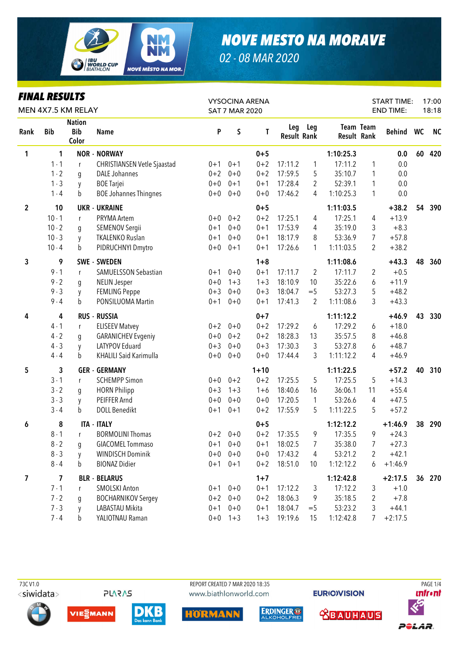

02 - 08 MAR 2020

| <b>FINAL RESULTS</b>    |            |                                      |                                    | <b>VYSOCINA ARENA</b> |                       |          |                           |                | <b>START TIME:</b> |                  | 17:00     |       |           |
|-------------------------|------------|--------------------------------------|------------------------------------|-----------------------|-----------------------|----------|---------------------------|----------------|--------------------|------------------|-----------|-------|-----------|
|                         |            | MEN 4X7.5 KM RELAY                   |                                    |                       | <b>SAT 7 MAR 2020</b> |          |                           |                |                    | <b>END TIME:</b> |           | 18:18 |           |
| Rank                    | <b>Bib</b> | <b>Nation</b><br><b>Bib</b><br>Color | <b>Name</b>                        | P                     | S                     | T        | Leg<br><b>Result Rank</b> | Leg            | <b>Result Rank</b> | <b>Team Team</b> | Behind WC |       | <b>NC</b> |
| 1                       | 1          |                                      | <b>NOR - NORWAY</b>                |                       |                       | $0 + 5$  |                           |                | 1:10:25.3          |                  | 0.0       | 60    | 420       |
|                         | $1 - 1$    | r                                    | <b>CHRISTIANSEN Vetle Sjaastad</b> | $0 + 1$               | $0 + 1$               | $0 + 2$  | 17:11.2                   | 1              | 17:11.2            | 1                | 0.0       |       |           |
|                         | $1 - 2$    | q                                    | <b>DALE Johannes</b>               | $0 + 2$               | $0 + 0$               | $0 + 2$  | 17:59.5                   | 5              | 35:10.7            | 1                | 0.0       |       |           |
|                         | $1 - 3$    | y                                    | <b>BOE</b> Tarjei                  | $0 + 0$               | $0 + 1$               | $0 + 1$  | 17:28.4                   | 2              | 52:39.1            | 1                | 0.0       |       |           |
|                         | $1 - 4$    | b                                    | <b>BOE Johannes Thingnes</b>       | $0+0$                 | $0 + 0$               | $0 + 0$  | 17:46.2                   | 4              | 1:10:25.3          | 1                | 0.0       |       |           |
| $\overline{2}$          | 10         |                                      | <b>UKR - UKRAINE</b>               |                       |                       | $0 + 5$  |                           |                | 1:11:03.5          |                  | $+38.2$   | 54    | 390       |
|                         | $10 - 1$   | r                                    | PRYMA Artem                        | $0+0$                 | $0 + 2$               | $0 + 2$  | 17:25.1                   | 4              | 17:25.1            | 4                | $+13.9$   |       |           |
|                         | $10 - 2$   | g                                    | SEMENOV Sergii                     | $0 + 1$               | $0 + 0$               | $0 + 1$  | 17:53.9                   | 4              | 35:19.0            | 3                | $+8.3$    |       |           |
|                         | $10 - 3$   | y                                    | <b>TKALENKO Ruslan</b>             | $0 + 1$               | $0 + 0$               | $0 + 1$  | 18:17.9                   | 8              | 53:36.9            | $\overline{7}$   | $+57.8$   |       |           |
|                         | $10 - 4$   | b                                    | PIDRUCHNYI Dmytro                  | $0+0$                 | $0 + 1$               | $0 + 1$  | 17:26.6                   | 1              | 1:11:03.5          | 2                | $+38.2$   |       |           |
| 3                       | 9          |                                      | <b>SWE - SWEDEN</b>                |                       |                       | $1 + 8$  |                           |                | 1:11:08.6          |                  | $+43.3$   | 48    | 360       |
|                         | $9 - 1$    | r                                    | <b>SAMUELSSON Sebastian</b>        | $0 + 1$               | $0 + 0$               | $0 + 1$  | 17:11.7                   | $\overline{2}$ | 17:11.7            | 2                | $+0.5$    |       |           |
|                         | $9 - 2$    | g                                    | <b>NELIN Jesper</b>                | $0 + 0$               | $1 + 3$               | $1 + 3$  | 18:10.9                   | 10             | 35:22.6            | 6                | $+11.9$   |       |           |
|                         | $9 - 3$    | y                                    | <b>FEMLING Peppe</b>               | $0 + 3$               | $0 + 0$               | $0 + 3$  | 18:04.7                   | $=$ 5          | 53:27.3            | 5                | $+48.2$   |       |           |
|                         | $9 - 4$    | b                                    | PONSILUOMA Martin                  | $0 + 1$               | $0 + 0$               | $0 + 1$  | 17:41.3                   | $\overline{2}$ | 1:11:08.6          | 3                | $+43.3$   |       |           |
| 4                       | 4          |                                      | <b>RUS - RUSSIA</b>                |                       |                       | $0 + 7$  |                           |                | 1:11:12.2          |                  | $+46.9$   | 43    | 330       |
|                         | $4 - 1$    | $\mathsf{r}$                         | <b>ELISEEV Matvey</b>              | $0 + 2$               | $0 + 0$               | $0 + 2$  | 17:29.2                   | 6              | 17:29.2            | 6                | $+18.0$   |       |           |
|                         | $4 - 2$    | g                                    | <b>GARANICHEV Evgeniy</b>          | $0 + 0$               | $0 + 2$               | $0 + 2$  | 18:28.3                   | 13             | 35:57.5            | 8                | $+46.8$   |       |           |
|                         | $4 - 3$    | y                                    | LATYPOV Eduard                     | $0 + 3$               | $0 + 0$               | $0 + 3$  | 17:30.3                   | 3              | 53:27.8            | 6                | $+48.7$   |       |           |
|                         | $4 - 4$    | b                                    | <b>KHALILI Said Karimulla</b>      | $0 + 0$               | $0 + 0$               | $0 + 0$  | 17:44.4                   | 3              | 1:11:12.2          | 4                | $+46.9$   |       |           |
| 5                       | 3          |                                      | <b>GER - GERMANY</b>               |                       |                       | $1 + 10$ |                           |                | 1:11:22.5          |                  | $+57.2$   | 40    | 310       |
|                         | $3 - 1$    | r                                    | <b>SCHEMPP Simon</b>               | $0+0$                 | $0 + 2$               | $0 + 2$  | 17:25.5                   | 5              | 17:25.5            | 5                | $+14.3$   |       |           |
|                         | $3 - 2$    | q                                    | <b>HORN Philipp</b>                | $0 + 3$               | $1 + 3$               | $1 + 6$  | 18:40.6                   | 16             | 36:06.1            | 11               | $+55.4$   |       |           |
|                         | $3 - 3$    | y                                    | PEIFFER Arnd                       | $0 + 0$               | $0 + 0$               | $0 + 0$  | 17:20.5                   | $\mathbf{1}$   | 53:26.6            | 4                | $+47.5$   |       |           |
|                         | $3 - 4$    | b                                    | <b>DOLL Benedikt</b>               | $0 + 1$               | $0 + 1$               | $0 + 2$  | 17:55.9                   | 5              | 1:11:22.5          | 5                | $+57.2$   |       |           |
| 6                       | 8          |                                      | <b>ITA - ITALY</b>                 |                       |                       | $0 + 5$  |                           |                | 1:12:12.2          |                  | $+1:46.9$ | 38    | 290       |
|                         | $8 - 1$    | $\mathbf{r}$                         | <b>BORMOLINI Thomas</b>            |                       | $0+2$ 0+0             | $0 + 2$  | 17:35.5                   | 9              | 17:35.5            | 9                | $+24.3$   |       |           |
|                         | $8 - 2$    | g                                    | <b>GIACOMEL Tommaso</b>            | $0 + 1$               | $0 + 0$               | $0 + 1$  | 18:02.5                   | 7              | 35:38.0            | 7                | $+27.3$   |       |           |
|                         | $8 - 3$    | y                                    | <b>WINDISCH Dominik</b>            | $0+0$                 | $0 + 0$               | $0 + 0$  | 17:43.2                   | 4              | 53:21.2            | 2                | $+42.1$   |       |           |
|                         | $8 - 4$    | b                                    | <b>BIONAZ Didier</b>               | $0 + 1$               | $0 + 1$               | $0 + 2$  | 18:51.0                   | 10             | 1:12:12.2          | 6                | $+1:46.9$ |       |           |
| $\overline{\mathbf{z}}$ | 7          |                                      | <b>BLR - BELARUS</b>               |                       |                       | $1+7$    |                           |                | 1:12:42.8          |                  | $+2:17.5$ |       | 36 270    |
|                         | $7 - 1$    | r                                    | <b>SMOLSKI Anton</b>               | $0 + 1$               | $0 + 0$               | $0 + 1$  | 17:12.2                   | 3              | 17:12.2            | 3                | $+1.0$    |       |           |
|                         | $7 - 2$    | q                                    | <b>BOCHARNIKOV Sergey</b>          |                       | $0+2$ 0+0             | $0 + 2$  | 18:06.3                   | 9              | 35:18.5            | 2                | $+7.8$    |       |           |
|                         | $7 - 3$    | y                                    | LABASTAU Mikita                    |                       | $0+1$ $0+0$           | $0 + 1$  | 18:04.7                   | $=$ 5          | 53:23.2            | 3                | $+44.1$   |       |           |
|                         | $7 - 4$    | b                                    | YALIOTNAU Raman                    |                       | $0+0$ 1+3             | $1 + 3$  | 19:19.6                   | 15             | 1:12:42.8          |                  | $+2:17.5$ |       |           |

73CV1.0 <siwidata>

**PLARAS** 

REPORT CREATED 7 MAR 2020 18:35 www.biathlonworld.com









**EURIOVISION** 

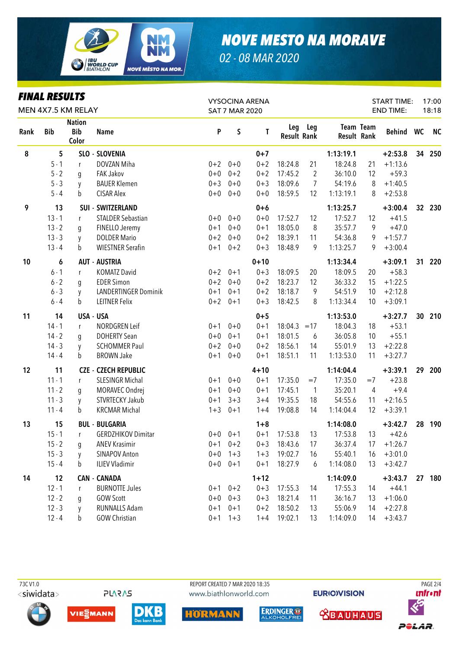

*02 - 08 MAR 2020*

| <b>FINAL RESULTS</b><br>MEN 4X7.5 KM RELAY |            |                                      |                           | <b>VYSOCINA ARENA</b><br><b>SAT 7 MAR 2020</b> |             |          |                           |                | <b>START TIME:</b><br><b>END TIME:</b> |           | 17:00<br>18:18 |                 |           |
|--------------------------------------------|------------|--------------------------------------|---------------------------|------------------------------------------------|-------------|----------|---------------------------|----------------|----------------------------------------|-----------|----------------|-----------------|-----------|
| Rank                                       | <b>Bib</b> | <b>Nation</b><br><b>Bib</b><br>Color | <b>Name</b>               | P                                              | S           | T        | Leg<br><b>Result Rank</b> | Leg            | <b>Result Rank</b>                     | Team Team | Behind WC      |                 | <b>NC</b> |
| 8                                          | 5          |                                      | SLO - SLOVENIA            |                                                |             | $0 + 7$  |                           |                | 1:13:19.1                              |           | $+2:53.8$      | 34              | 250       |
|                                            | $5 - 1$    | r                                    | DOVZAN Miha               |                                                | $0+2$ 0+0   | $0 + 2$  | 18:24.8                   | 21             | 18:24.8                                | 21        | $+1:13.6$      |                 |           |
|                                            | $5 - 2$    | g                                    | <b>FAK Jakov</b>          | $0 + 0$                                        | $0 + 2$     | $0 + 2$  | 17:45.2                   | $\overline{2}$ | 36:10.0                                | 12        | $+59.3$        |                 |           |
|                                            | $5 - 3$    | y                                    | <b>BAUER Klemen</b>       | $0 + 3$                                        | $0 + 0$     | $0 + 3$  | 18:09.6                   | $\overline{7}$ | 54:19.6                                | 8         | $+1:40.5$      |                 |           |
|                                            | $5 - 4$    | b                                    | <b>CISAR Alex</b>         | $0+0$                                          | $0 + 0$     | $0 + 0$  | 18:59.5                   | 12             | 1:13:19.1                              | 8         | $+2:53.8$      |                 |           |
| 9                                          | 13         |                                      | <b>SUI - SWITZERLAND</b>  |                                                |             | $0+6$    |                           |                | 1:13:25.7                              |           | $+3:00.4$      | 32 <sub>2</sub> | 230       |
|                                            | $13 - 1$   | r                                    | <b>STALDER Sebastian</b>  | $0+0$                                          | $0 + 0$     | $0 + 0$  | 17:52.7                   | 12             | 17:52.7                                | 12        | $+41.5$        |                 |           |
|                                            | $13 - 2$   | g                                    | FINELLO Jeremy            | $0 + 1$                                        | $0+0$       | $0 + 1$  | 18:05.0                   | 8              | 35:57.7                                | 9         | $+47.0$        |                 |           |
|                                            | $13 - 3$   | y                                    | <b>DOLDER Mario</b>       | $0 + 2$                                        | $0 + 0$     | $0 + 2$  | 18:39.1                   | 11             | 54:36.8                                | 9         | $+1:57.7$      |                 |           |
|                                            | $13 - 4$   | b                                    | <b>WIESTNER Serafin</b>   | $0 + 1$                                        | $0 + 2$     | $0 + 3$  | 18:48.9                   | 9              | 1:13:25.7                              | 9         | $+3:00.4$      |                 |           |
| 10                                         | 6          |                                      | <b>AUT - AUSTRIA</b>      |                                                |             | $0 + 10$ |                           |                | 1:13:34.4                              |           | $+3:09.1$      | 31              | 220       |
|                                            | $6 - 1$    | $\mathsf{r}$                         | <b>KOMATZ David</b>       | $0 + 2$                                        | $0 + 1$     | $0 + 3$  | 18:09.5                   | 20             | 18:09.5                                | 20        | $+58.3$        |                 |           |
|                                            | $6 - 2$    | g                                    | <b>EDER Simon</b>         | $0 + 2$                                        | $0+0$       | $0 + 2$  | 18:23.7                   | 12             | 36:33.2                                | 15        | $+1:22.5$      |                 |           |
|                                            | $6 - 3$    | y                                    | LANDERTINGER Dominik      | $0 + 1$                                        | $0 + 1$     | $0 + 2$  | 18:18.7                   | 9              | 54:51.9                                | 10        | $+2:12.8$      |                 |           |
|                                            | $6 - 4$    | b                                    | <b>LEITNER Felix</b>      | $0 + 2$                                        | $0 + 1$     | $0 + 3$  | 18:42.5                   | 8              | 1:13:34.4                              | 10        | $+3:09.1$      |                 |           |
| 11                                         | 14         |                                      | USA - USA                 |                                                |             | $0 + 5$  |                           |                | 1:13:53.0                              |           | $+3:27.7$      | 30              | 210       |
|                                            | $14 - 1$   | r                                    | NORDGREN Leif             | $0 + 1$                                        | $0 + 0$     | $0 + 1$  | 18:04.3                   | $=17$          | 18:04.3                                | 18        | $+53.1$        |                 |           |
|                                            | $14 - 2$   | g                                    | <b>DOHERTY Sean</b>       | $0 + 0$                                        | $0 + 1$     | $0 + 1$  | 18:01.5                   | 6              | 36:05.8                                | 10        | $+55.1$        |                 |           |
|                                            | $14 - 3$   | y                                    | <b>SCHOMMER Paul</b>      | $0 + 2$                                        | $0 + 0$     | $0 + 2$  | 18:56.1                   | 14             | 55:01.9                                | 13        | $+2:22.8$      |                 |           |
|                                            | $14 - 4$   | b                                    | <b>BROWN Jake</b>         | $0 + 1$                                        | $0 + 0$     | $0 + 1$  | 18:51.1                   | 11             | 1:13:53.0                              | 11        | $+3:27.7$      |                 |           |
| 12                                         | 11         | <b>CZE</b>                           | - CZECH REPUBLIC          |                                                |             | $4 + 10$ |                           |                | 1:14:04.4                              |           | $+3:39.1$      | 29              | 200       |
|                                            | $11 - 1$   | r                                    | <b>SLESINGR Michal</b>    | $0 + 1$                                        | $0 + 0$     | $0 + 1$  | 17:35.0                   | $=7$           | 17:35.0                                | $=7$      | $+23.8$        |                 |           |
|                                            | $11 - 2$   | g                                    | MORAVEC Ondrej            | $0 + 1$                                        | $0 + 0$     | $0 + 1$  | 17:45.1                   | $\mathbf{1}$   | 35:20.1                                | 4         | $+9.4$         |                 |           |
|                                            | $11 - 3$   | y                                    | STVRTECKY Jakub           | $0 + 1$                                        | $3 + 3$     | $3 + 4$  | 19:35.5                   | 18             | 54:55.6                                | 11        | $+2:16.5$      |                 |           |
|                                            | $11 - 4$   | b                                    | <b>KRCMAR Michal</b>      | $1 + 3$                                        | $0 + 1$     | $1 + 4$  | 19:08.8                   | 14             | 1:14:04.4                              | 12        | $+3:39.1$      |                 |           |
| 13                                         | 15         |                                      | <b>BUL - BULGARIA</b>     |                                                |             | $1 + 8$  |                           |                | 1:14:08.0                              |           | $+3:42.7$      | 28              | 190       |
|                                            | $15 - 1$   | r                                    | <b>GERDZHIKOV Dimitar</b> |                                                | $0+0$ $0+1$ | $0 + 1$  | 17:53.8                   | 13             | 17:53.8                                | 13        | $+42.6$        |                 |           |
|                                            | $15 - 2$   | g                                    | <b>ANEV Krasimir</b>      |                                                | $0+1$ $0+2$ | $0 + 3$  | 18:43.6                   | 17             | 36:37.4                                | 17        | $+1:26.7$      |                 |           |
|                                            | $15 - 3$   | y                                    | <b>SINAPOV Anton</b>      | $0 + 0$                                        | $1 + 3$     | $1 + 3$  | 19:02.7                   | 16             | 55:40.1                                | 16        | $+3:01.0$      |                 |           |
|                                            | $15 - 4$   | b                                    | <b>ILIEV Vladimir</b>     | $0+0$                                          | $0 + 1$     | $0 + 1$  | 18:27.9                   | 6              | 1:14:08.0                              | 13        | $+3:42.7$      |                 |           |
| 14                                         | 12         |                                      | <b>CAN - CANADA</b>       |                                                |             | $1 + 12$ |                           |                | 1:14:09.0                              |           | $+3:43.7$      |                 | 27 180    |
|                                            | $12 - 1$   | r                                    | <b>BURNOTTE Jules</b>     | $0 + 1$                                        | $0 + 2$     | $0 + 3$  | 17:55.3                   | 14             | 17:55.3                                | 14        | $+44.1$        |                 |           |
|                                            | $12 - 2$   | g                                    | <b>GOW Scott</b>          |                                                | $0+0$ $0+3$ | $0 + 3$  | 18:21.4                   | 11             | 36:16.7                                | 13        | $+1:06.0$      |                 |           |
|                                            | $12 - 3$   | y                                    | RUNNALLS Adam             | $0 + 1$                                        | $0 + 1$     | $0 + 2$  | 18:50.2                   | 13             | 55:06.9                                | 14        | $+2:27.8$      |                 |           |
|                                            | $12 - 4$   | b                                    | <b>GOW Christian</b>      |                                                | $0+1$ 1+3   |          | $1+4$ 19:02.1             | 13             | 1:14:09.0                              | 14        | $+3:43.7$      |                 |           |

<siwidata>

**PLARAS** 

 73C V1.0 REPORT CREATED 7 MAR 2020 18:35 PAGE 2/4www.biathlonworld.com

**EURIOVISION** 













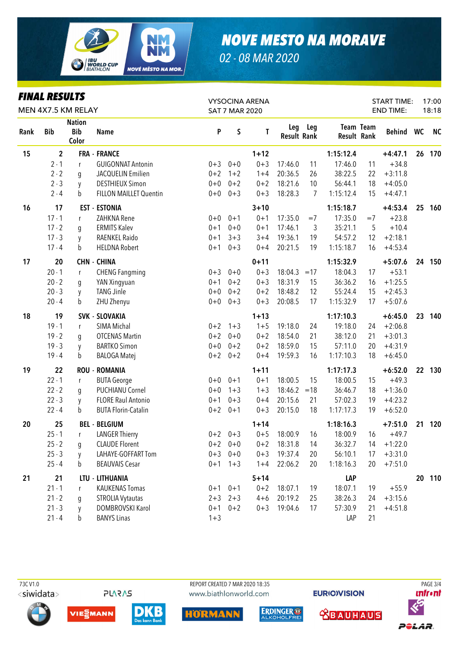

02 - 08 MAR 2020

| <b>FINAL RESULTS</b><br>MEN 4X7.5 KM RELAY |             |                                      |                               | <b>VYSOCINA ARENA</b><br><b>SAT 7 MAR 2020</b> |             |          |                           |       | <b>START TIME:</b><br><b>END TIME:</b> |                  | 17:00<br>18:18 |    |           |
|--------------------------------------------|-------------|--------------------------------------|-------------------------------|------------------------------------------------|-------------|----------|---------------------------|-------|----------------------------------------|------------------|----------------|----|-----------|
| Rank                                       | <b>Bib</b>  | <b>Nation</b><br><b>Bib</b><br>Color | <b>Name</b>                   | P                                              | S           | T        | Leg<br><b>Result Rank</b> | Leg   | <b>Result Rank</b>                     | <b>Team Team</b> | Behind WC      |    | <b>NC</b> |
| 15                                         | $\mathbf 2$ |                                      | <b>FRA - FRANCE</b>           |                                                |             | $1 + 12$ |                           |       | 1:15:12.4                              |                  | $+4:47.1$      | 26 | 170       |
|                                            | $2 - 1$     | r                                    | <b>GUIGONNAT Antonin</b>      | $0 + 3$                                        | $0 + 0$     | $0 + 3$  | 17:46.0                   | 11    | 17:46.0                                | 11               | $+34.8$        |    |           |
|                                            | $2 - 2$     | g                                    | JACQUELIN Emilien             | $0 + 2$                                        | $1 + 2$     | $1 + 4$  | 20:36.5                   | 26    | 38:22.5                                | 22               | $+3:11.8$      |    |           |
|                                            | $2 - 3$     | y                                    | <b>DESTHIEUX Simon</b>        | $0 + 0$                                        | $0 + 2$     | $0 + 2$  | 18:21.6                   | 10    | 56:44.1                                | 18               | $+4:05.0$      |    |           |
|                                            | $2 - 4$     | b                                    | <b>FILLON MAILLET Quentin</b> | $0 + 0$                                        | $0 + 3$     | $0 + 3$  | 18:28.3                   | 7     | 1:15:12.4                              | 15               | $+4:47.1$      |    |           |
| 16                                         | 17          |                                      | <b>EST - ESTONIA</b>          |                                                |             | $3 + 10$ |                           |       | 1:15:18.7                              |                  | $+4:53.4$      | 25 | 160       |
|                                            | $17 - 1$    | r                                    | ZAHKNA Rene                   | $0 + 0$                                        | $0 + 1$     | $0 + 1$  | 17:35.0                   | $=7$  | 17:35.0                                | $=7$             | $+23.8$        |    |           |
|                                            | $17 - 2$    | g                                    | <b>ERMITS Kalev</b>           | $0 + 1$                                        | $0 + 0$     | $0 + 1$  | 17:46.1                   | 3     | 35:21.1                                | 5                | $+10.4$        |    |           |
|                                            | $17 - 3$    | y                                    | RAENKEL Raido                 | $0 + 1$                                        | $3 + 3$     | $3 + 4$  | 19:36.1                   | 19    | 54:57.2                                | 12               | $+2:18.1$      |    |           |
|                                            | $17 - 4$    | b                                    | <b>HELDNA Robert</b>          | $0 + 1$                                        | $0 + 3$     | $0 + 4$  | 20:21.5                   | 19    | 1:15:18.7                              | 16               | $+4:53.4$      |    |           |
| 17                                         | 20          |                                      | <b>CHN - CHINA</b>            |                                                |             | $0 + 11$ |                           |       | 1:15:32.9                              |                  | $+5:07.6$      | 24 | 150       |
|                                            | $20 - 1$    | $\mathsf{r}$                         | <b>CHENG Fangming</b>         | $0 + 3$                                        | $0 + 0$     | $0 + 3$  | 18:04.3                   | $=17$ | 18:04.3                                | 17               | $+53.1$        |    |           |
|                                            | $20 - 2$    | g                                    | YAN Xingyuan                  | $0 + 1$                                        | $0 + 2$     | $0 + 3$  | 18:31.9                   | 15    | 36:36.2                                | 16               | $+1:25.5$      |    |           |
|                                            | $20 - 3$    | y                                    | <b>TANG Jinle</b>             | $0 + 0$                                        | $0 + 2$     | $0 + 2$  | 18:48.2                   | 12    | 55:24.4                                | 15               | $+2:45.3$      |    |           |
|                                            | $20 - 4$    | b                                    | ZHU Zhenyu                    | $0 + 0$                                        | $0 + 3$     | $0 + 3$  | 20:08.5                   | 17    | 1:15:32.9                              | 17               | $+5:07.6$      |    |           |
| 18                                         | 19          |                                      | SVK - SLOVAKIA                |                                                |             | $1 + 13$ |                           |       | 1:17:10.3                              |                  | $+6:45.0$      | 23 | 140       |
|                                            | $19 - 1$    | r                                    | SIMA Michal                   | $0 + 2$                                        | $1 + 3$     | $1 + 5$  | 19:18.0                   | 24    | 19:18.0                                | 24               | $+2:06.8$      |    |           |
|                                            | $19 - 2$    | g                                    | <b>OTCENAS Martin</b>         | $0 + 2$                                        | $0 + 0$     | $0 + 2$  | 18:54.0                   | 21    | 38:12.0                                | 21               | $+3:01.3$      |    |           |
|                                            | $19 - 3$    | y                                    | <b>BARTKO Simon</b>           | $0 + 0$                                        | $0 + 2$     | $0 + 2$  | 18:59.0                   | 15    | 57:11.0                                | 20               | $+4:31.9$      |    |           |
|                                            | $19 - 4$    | b                                    | <b>BALOGA Matej</b>           | $0 + 2$                                        | $0 + 2$     | $0 + 4$  | 19:59.3                   | 16    | 1:17:10.3                              | 18               | $+6:45.0$      |    |           |
| 19                                         | 22          |                                      | <b>ROU - ROMANIA</b>          |                                                |             | $1 + 11$ |                           |       | 1:17:17.3                              |                  | $+6:52.0$      | 22 | 130       |
|                                            | $22 - 1$    | r                                    | <b>BUTA George</b>            | $0 + 0$                                        | $0 + 1$     | $0 + 1$  | 18:00.5                   | 15    | 18:00.5                                | 15               | $+49.3$        |    |           |
|                                            | $22 - 2$    | g                                    | PUCHIANU Cornel               | $0 + 0$                                        | $1 + 3$     | $1 + 3$  | 18:46.2                   | $=18$ | 36:46.7                                | 18               | $+1:36.0$      |    |           |
|                                            | $22 - 3$    | y                                    | <b>FLORE Raul Antonio</b>     | $0 + 1$                                        | $0 + 3$     | $0 + 4$  | 20:15.6                   | 21    | 57:02.3                                | 19               | $+4:23.2$      |    |           |
|                                            | $22 - 4$    | b                                    | <b>BUTA Florin-Catalin</b>    | $0 + 2$                                        | $0 + 1$     | $0 + 3$  | 20:15.0                   | 18    | 1:17:17.3                              | 19               | $+6:52.0$      |    |           |
| 20                                         | 25          |                                      | <b>BEL - BELGIUM</b>          |                                                |             | $1 + 14$ |                           |       | 1:18:16.3                              |                  | $+7:51.0$      | 21 | 120       |
|                                            | $25 - 1$    | r                                    | <b>LANGER Thierry</b>         |                                                | $0+2$ $0+3$ | $0 + 5$  | 18:00.9                   | 16    | 18:00.9                                | 16               | $+49.7$        |    |           |
|                                            | $25 - 2$    | g                                    | <b>CLAUDE Florent</b>         |                                                | $0+2$ 0+0   | $0 + 2$  | 18:31.8                   | 14    | 36:32.7                                | 14               | $+1:22.0$      |    |           |
|                                            | $25 - 3$    | y                                    | LAHAYE-GOFFART Tom            | $0 + 3$                                        | $0 + 0$     | $0 + 3$  | 19:37.4                   | 20    | 56:10.1                                | 17               | $+3:31.0$      |    |           |
|                                            | $25 - 4$    | b                                    | <b>BEAUVAIS Cesar</b>         | $0 + 1$                                        | $1 + 3$     | $1 + 4$  | 22:06.2                   | 20    | 1:18:16.3                              | 20               | $+7:51.0$      |    |           |
| 21                                         | 21          |                                      | LTU - LITHUANIA               |                                                |             | $5 + 14$ |                           |       | LAP                                    |                  |                |    | 20 110    |
|                                            | $21 - 1$    | r                                    | <b>KAUKENAS Tomas</b>         | $0 + 1$                                        | $0 + 1$     | $0 + 2$  | 18:07.1                   | 19    | 18:07.1                                | 19               | $+55.9$        |    |           |
|                                            | $21 - 2$    | g                                    | <b>STROLIA Vytautas</b>       | $2 + 3$                                        | $2 + 3$     | $4 + 6$  | 20:19.2                   | 25    | 38:26.3                                | 24               | $+3:15.6$      |    |           |
|                                            | $21 - 3$    | y                                    | DOMBROVSKI Karol              | $0 + 1$                                        | $0 + 2$     | $0 + 3$  | 19:04.6                   | 17    | 57:30.9                                | 21               | $+4:51.8$      |    |           |
|                                            | $21 - 4$    | b                                    | <b>BANYS Linas</b>            | $1 + 3$                                        |             |          |                           |       | LAP                                    | 21               |                |    |           |

73CV1.0 <siwidata>

**PLARAS** 

REPORT CREATED 7 MAR 2020 18:35 www.biathlonworld.com

**EURIOVISION**